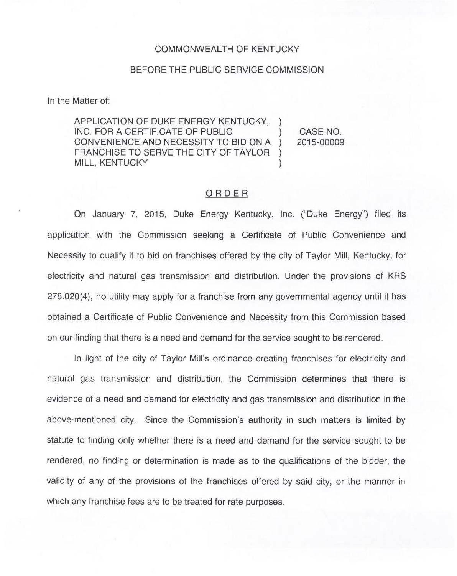## COMMONWEALTH OF KENTUCKY

## BEFORE THE PUBLIC SERVICE COMMISSION

In the Matter of:

APPLICATION OF DUKE ENERGY KENTUCKY, ) INC. FOR A CERTIFICATE OF PUBLIC CONVENIENCE AND NECESSITY TO BID ON A )<br>FRANCHISE TO SERVE THE CITY OF TAYLOR ) FRANCHISE TO SERVE THE CITY OF TAYLOR **MILL, KENTUCKY** 

CASE NO. 2015-00009

## ORDER

On January 7, 2015, Duke Energy Kentucky, Inc. ("Duke Energy") filed its application with the Commission seeking a Certificate of Public Convenience and Necessity to qualify it to bid on franchises offered by the city of Taylor Mill, Kentucky, for electricity and natural gas transmission and distribution. Under the provisions of KRS 278.020(4), no utility may apply for a franchise from any governmental agency until it has obtained a Certificate of Public Convenience and Necessity from this Commission based on our finding that there is a need and demand for the service sought to be rendered.

In light of the city of Taylor Mill's ordinance creating franchises for electricity and natural gas transmission and distribution, the Commission determines that there is evidence of a need and demand for electricity and gas transmission and distribution in the above-mentioned city. Since the Commission's authority in such matters is limited by statute to finding only whether there is a need and demand for the service sought to be rendered, no finding or determination is made as to the qualifications of the bidder, the validity of any of the provisions of the franchises offered by said city, or the manner in which any franchise fees are to be treated for rate purposes.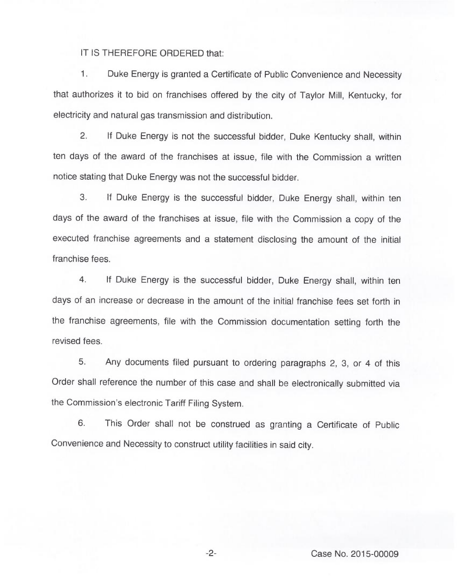IT IS THEREFORE ORDERED that:

1. Duke Energy is granted a Certificate of Public Convenience and Necessity that authorizes it to bid on franchises offered by the city of Taylor Mill, Kentucky, for electricity and natural gas transmission and distribution.

2. If Duke Energy is not the successful bidder, Duke Kentucky shall, within ten days of the award of the franchises at issue, file with the Commission a written notice stating that Duke Energy was not the successful bidder.

3. If Duke Energy is the successful bidder, Duke Energy shall, within ten days of the award of the franchises at issue, file with the Commission a copy of the executed franchise agreements and a statement disclosing the amount of the initial franchise fees.

4. If Duke Energy is the successful bidder, Duke Energy shall, within ten days of an increase or decrease in the amount of the initial franchise fees set forth in the franchise agreements, file with the Commission documentation setting forth the revised fees.

5. Any documents filed pursuant to ordering paragraphs 2, 3, or 4 of this Order shall reference the number of this case and shall be electronically submitted via the Commission's electronic Tariff Filing System.

6. This Order shall not be construed as granting a Certificate of Public Convenience and Necessity to construct utility facilities in said city.

Case No. 2015-00009

 $-2-$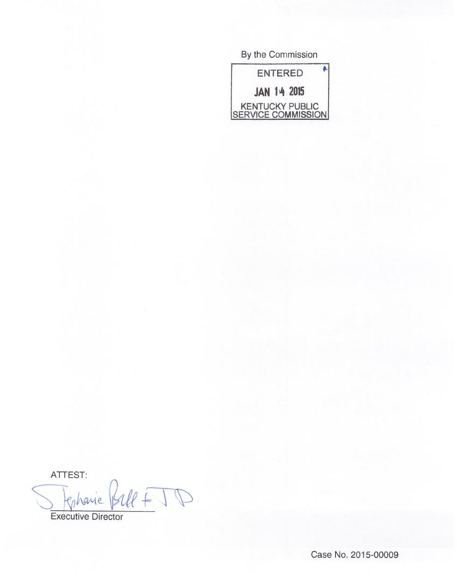By the Commission

ENTERED JAN 14 2015 KENTUCKY PUBLIC <u>SERVICE COMMISSION</u>

ATTEST:  $44 + 10$ chane

Executive Director